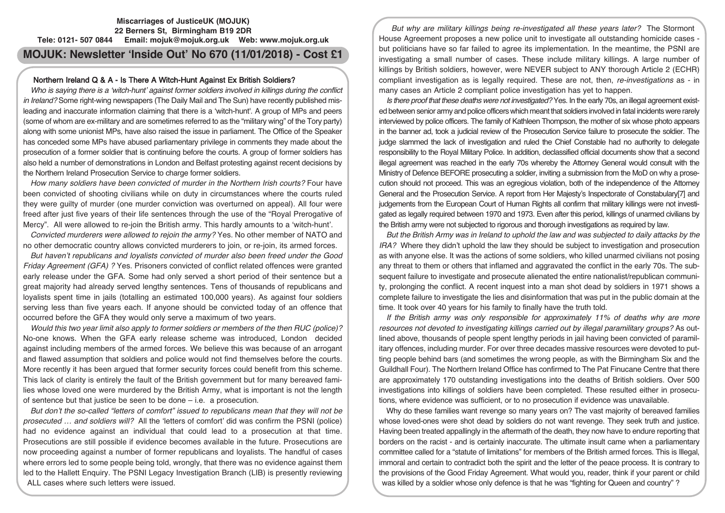## **Miscarriages of JusticeUK (MOJUK) 22 Berners St, Birmingham B19 2DR Tele: 0121- 507 0844 Email: mojuk@mojuk.org.uk Web: www.mojuk.org.uk**

# **MOJUK: Newsletter 'Inside Out' No 670 (11/01/2018) - Cost £1**

## Northern Ireland Q & A - Is There A Witch-Hunt Against Ex British Soldiers?

Who is saying there is <sup>a</sup> 'witch-hunt' against former soldiers involved in killings during the conflict in Ireland? Some right-wing newspapers (The Daily Mail and The Sun) have recently published misleading and inaccurate information claiming that there is a 'witch-hunt'. A group of MPs and peers (some of whom are ex-military and are sometimes referred to as the "military wing" of the Tory party) along with some unionist MPs, have also raised the issue in parliament. The Office of the Speaker has conceded some MPs have abused parliamentary privilege in comments they made about the prosecution of a former soldier that is continuing before the courts. A group of former soldiers has also held a number of demonstrations in London and Belfast protesting against recent decisions by the Northern Ireland Prosecution Service to charge former soldiers.

How many soldiers have been convicted of murder in the Northern Irish courts? Four have been convicted of shooting civilians while on duty in circumstances where the courts ruled they were guilty of murder (one murder conviction was overturned on appeal). All four were freed after just five years of their life sentences through the use of the "Royal Prerogative of Mercy". All were allowed to re-join the British army. This hardly amounts to a 'witch-hunt'.

Convicted murderers were allowed to rejoin the army? Yes. No other member of NATO and no other democratic country allows convicted murderers to join, or re-join, its armed forces.

But haven't republicans and loyalists convicted of murder also been freed under the Good Friday Agreement (GFA) ? Yes. Prisoners convicted of conflict related offences were granted early release under the GFA. Some had only served a short period of their sentence but a great majority had already served lengthy sentences. Tens of thousands of republicans and loyalists spent time in jails (totalling an estimated 100,000 years). As against four soldiers serving less than five years each. If anyone should be convicted today of an offence that occurred before the GFA they would only serve a maximum of two years.

Would this two year limit also apply to former soldiers or members of the then RUC (police)? No-one knows. When the GFA early release scheme was introduced, London decided against including members of the armed forces. We believe this was because of an arrogant and flawed assumption that soldiers and police would not find themselves before the courts. More recently it has been argued that former security forces could benefit from this scheme. This lack of clarity is entirely the fault of the British government but for many bereaved families whose loved one were murdered by the British Army, what is important is not the length of sentence but that justice be seen to be done – i.e. a prosecution.

But don't the so-called "letters of comfort" issued to republicans mean that they will not be prosecuted … and soldiers will? All the 'letters of comfort' did was confirm the PSNI (police) had no evidence against an individual that could lead to a prosecution at that time. Prosecutions are still possible if evidence becomes available in the future. Prosecutions are now proceeding against a number of former republicans and loyalists. The handful of cases where errors led to some people being told, wrongly, that there was no evidence against them led to the Hallett Enquiry. The PSNI Legacy Investigation Branch (LIB) is presently reviewing ALL cases where such letters were issued.

But why are military killings being re-investigated all these years later? The Stormont House Agreement proposes a new police unit to investigate all outstanding homicide cases but politicians have so far failed to agree its implementation. In the meantime, the PSNI are investigating a small number of cases. These include military killings. A large number of killings by British soldiers, however, were NEVER subject to ANY thorough Article 2 (ECHR) compliant investigation as is legally required. These are not, then, re-investigations as - in many cases an Article 2 compliant police investigation has yet to happen.

Is there proof that these deaths were not investigated? Yes. In the early 70s, an illegal agreement existed between senior army and police officers which meant that soldiers involved in fatal incidents were rarely interviewed by police officers. The family of Kathleen Thompson, the mother of six whose photo appears in the banner ad, took a judicial review of the Prosecution Service failure to prosecute the soldier. The judge slammed the lack of investigation and ruled the Chief Constable had no authority to delegate responsibility to the Royal Military Police. In addition, declassified official documents show that a second illegal agreement was reached in the early 70s whereby the Attorney General would consult with the Ministry of Defence BEFORE prosecuting a soldier, inviting a submission from the MoD on why a prosecution should not proceed. This was an egregious violation, both of the independence of the Attorney General and the Prosecution Service. A report from Her Majesty's Inspectorate of Constabulary[7] and judgements from the European Court of Human Rights all confirm that military killings were not investigated as legally required between 1970 and 1973. Even after this period, killings of unarmed civilians by the British army were not subjected to rigorous and thorough investigations as required by law.

But the British Army was in Ireland to uphold the law and was subjected to daily attacks by the IRA? Where they didn't uphold the law they should be subject to investigation and prosecution as with anyone else. It was the actions of some soldiers, who killed unarmed civilians not posing any threat to them or others that inflamed and aggravated the conflict in the early 70s. The subsequent failure to investigate and prosecute alienated the entire nationalist/republican community, prolonging the conflict. A recent inquest into a man shot dead by soldiers in 1971 shows a complete failure to investigate the lies and disinformation that was put in the public domain at the time. It took over 40 years for his family to finally have the truth told.

If the British army was only responsible for approximately 11% of deaths why are more resources not devoted to investigating killings carried out by illegal paramilitary groups? As outlined above, thousands of people spent lengthy periods in jail having been convicted of paramilitary offences, including murder. For over three decades massive resources were devoted to putting people behind bars (and sometimes the wrong people, as with the Birmingham Six and the Guildhall Four). The Northern Ireland Office has confirmed to The Pat Finucane Centre that there are approximately 170 outstanding investigations into the deaths of British soldiers. Over 500 investigations into killings of soldiers have been completed. These resulted either in prosecutions, where evidence was sufficient, or to no prosecution if evidence was unavailable.

Why do these families want revenge so many years on? The vast majority of bereaved families whose loved-ones were shot dead by soldiers do not want revenge. They seek truth and justice. Having been treated appallingly in the aftermath of the death, they now have to endure reporting that borders on the racist - and is certainly inaccurate. The ultimate insult came when a parliamentary committee called for a "statute of limitations" for members of the British armed forces. This is Illegal, immoral and certain to contradict both the spirit and the letter of the peace process. It is contrary to the provisions of the Good Friday Agreement. What would you, reader, think if your parent or child was killed by a soldier whose only defence is that he was "fighting for Queen and country" ?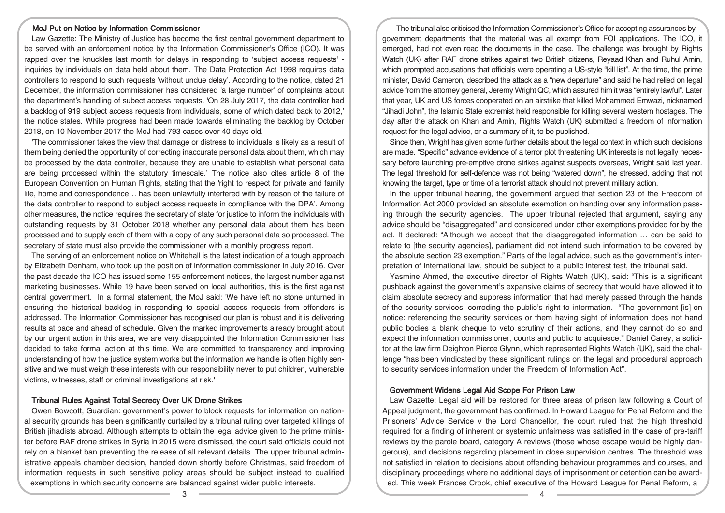## MoJ Put on Notice by Information Commissioner

Law Gazette: The Ministry of Justice has become the first central government department to be served with an enforcement notice by the Information Commissioner's Office (ICO). It was rapped over the knuckles last month for delays in responding to 'subject access requests' inquiries by individuals on data held about them. The Data Protection Act 1998 requires data controllers to respond to such requests 'without undue delay'. According to the notice, dated 21 December, the information commissioner has considered 'a large number' of complaints about the department's handling of subect access requests. 'On 28 July 2017, the data controller had a backlog of 919 subject access requests from individuals, some of which dated back to 2012,' the notice states. While progress had been made towards eliminating the backlog by October 2018, on 10 November 2017 the MoJ had 793 cases over 40 days old.

'The commissioner takes the view that damage or distress to individuals is likely as a result of them being denied the opportunity of correcting inaccurate personal data about them, which may be processed by the data controller, because they are unable to establish what personal data are being processed within the statutory timescale.' The notice also cites article 8 of the European Convention on Human Rights, stating that the 'right to respect for private and family life, home and correspondence… has been unlawfully interfered with by reason of the failure of the data controller to respond to subject access requests in compliance with the DPA'. Among other measures, the notice requires the secretary of state for justice to inform the individuals with outstanding requests by 31 October 2018 whether any personal data about them has been processed and to supply each of them with a copy of any such personal data so processed. The secretary of state must also provide the commissioner with a monthly progress report.

The serving of an enforcement notice on Whitehall is the latest indication of a tough approach by Elizabeth Denham, who took up the position of information commissioner in July 2016. Over the past decade the ICO has issued some 155 enforcement notices, the largest number against marketing businesses. While 19 have been served on local authorities, this is the first against central government. In a formal statement, the MoJ said: 'We have left no stone unturned in ensuring the historical backlog in responding to special access requests from offenders is addressed. The Information Commissioner has recognised our plan is robust and it is delivering results at pace and ahead of schedule. Given the marked improvements already brought about by our urgent action in this area, we are very disappointed the Information Commissioner has decided to take formal action at this time. We are committed to transparency and improving understanding of how the justice system works but the information we handle is often highly sensitive and we must weigh these interests with our responsibility never to put children, vulnerable victims, witnesses, staff or criminal investigations at risk.'

## Tribunal Rules Against Total Secrecy Over UK Drone Strikes

Owen Bowcott, Guardian: government's power to block requests for information on national security grounds has been significantly curtailed by a tribunal ruling over targeted killings of British jihadists abroad. Although attempts to obtain the legal advice given to the prime minister before RAF drone strikes in Syria in 2015 were dismissed, the court said officials could not rely on a blanket ban preventing the release of all relevant details. The upper tribunal administrative appeals chamber decision, handed down shortly before Christmas, said freedom of information requests in such sensitive policy areas should be subject instead to qualified exemptions in which security concerns are balanced against wider public interests.

The tribunal also criticised the Information Commissioner's Office for accepting assurances by government departments that the material was all exempt from FOI applications. The ICO, it emerged, had not even read the documents in the case. The challenge was brought by Rights Watch (UK) after RAF drone strikes against two British citizens, Reyaad Khan and Ruhul Amin, which prompted accusations that officials were operating a US-style "kill list". At the time, the prime minister, David Cameron, described the attack as a "new departure" and said he had relied on legal advice from the attorney general, Jeremy Wright QC, which assured him it was "entirely lawful". Later that year, UK and US forces cooperated on an airstrike that killed Mohammed Emwazi, nicknamed "Jihadi John", the Islamic State extremist held responsible for killing several western hostages. The day after the attack on Khan and Amin, Rights Watch (UK) submitted a freedom of information request for the legal advice, or a summary of it, to be published.

Since then, Wright has given some further details about the legal context in which such decisions are made. "Specific" advance evidence of a terror plot threatening UK interests is not legally necessary before launching pre-emptive drone strikes against suspects overseas, Wright said last year. The legal threshold for self-defence was not being "watered down", he stressed, adding that not knowing the target, type or time of a terrorist attack should not prevent military action.

In the upper tribunal hearing, the government argued that section 23 of the Freedom of Information Act 2000 provided an absolute exemption on handing over any information passing through the security agencies. The upper tribunal rejected that argument, saying any advice should be "disaggregated" and considered under other exemptions provided for by the act. It declared: "Although we accept that the disaggregated information … can be said to relate to [the security agencies], parliament did not intend such information to be covered by the absolute section 23 exemption." Parts of the legal advice, such as the government's interpretation of international law, should be subject to a public interest test, the tribunal said.

Yasmine Ahmed, the executive director of Rights Watch (UK), said: "This is a significant pushback against the government's expansive claims of secrecy that would have allowed it to claim absolute secrecy and suppress information that had merely passed through the hands of the security services, corroding the public's right to information. "The government [is] on notice: referencing the security services or them having sight of information does not hand public bodies a blank cheque to veto scrutiny of their actions, and they cannot do so and expect the information commissioner, courts and public to acquiesce." Daniel Carey, a solicitor at the law firm Deighton Pierce Glynn, which represented Rights Watch (UK), said the challenge "has been vindicated by these significant rulings on the legal and procedural approach to security services information under the Freedom of Information Act".

## Government Widens Legal Aid Scope For Prison Law

Law Gazette: Legal aid will be restored for three areas of prison law following a Court of Appeal judgment, the government has confirmed. In Howard League for Penal Reform and the Prisoners' Advice Service v the Lord Chancellor, the court ruled that the high threshold required for a finding of inherent or systemic unfairness was satisfied in the case of pre-tariff reviews by the parole board, category A reviews (those whose escape would be highly dangerous), and decisions regarding placement in close supervision centres. The threshold was not satisfied in relation to decisions about offending behaviour programmes and courses, and disciplinary proceedings where no additional days of imprisonment or detention can be awarded. This week Frances Crook, chief executive of the Howard League for Penal Reform, a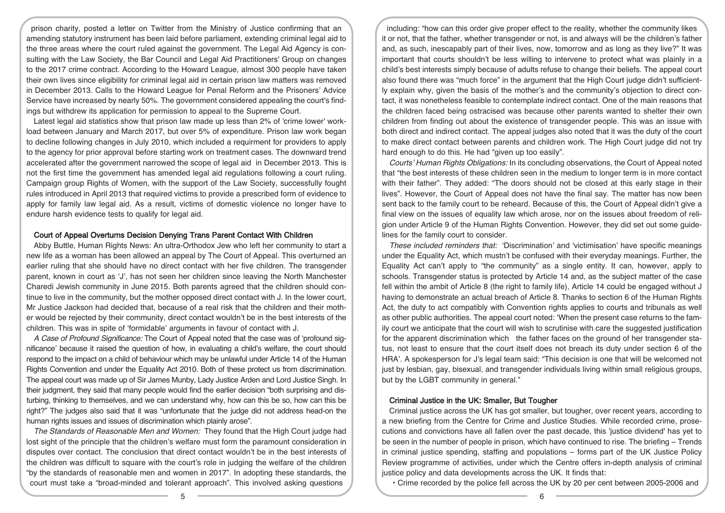prison charity, posted a letter on Twitter from the Ministry of Justice confirming that an amending statutory instrument has been laid before parliament, extending criminal legal aid to the three areas where the court ruled against the government. The Legal Aid Agency is consulting with the Law Society, the Bar Council and Legal Aid Practitioners' Group on changes to the 2017 crime contract. According to the Howard League, almost 300 people have taken their own lives since eligibility for criminal legal aid in certain prison law matters was removed in December 2013. Calls to the Howard League for Penal Reform and the Prisoners' Advice Service have increased by nearly 50%. The government considered appealing the court's findings but withdrew its application for permission to appeal to the Supreme Court.

Latest legal aid statistics show that prison law made up less than 2% of 'crime lower' workload between January and March 2017, but over 5% of expenditure. Prison law work began to decline following changes in July 2010, which included a requirment for providers to apply to the agency for prior approval before starting work on treatment cases. The downward trend accelerated after the government narrowed the scope of legal aid in December 2013. This is not the first time the government has amended legal aid regulations following a court ruling. Campaign group Rights of Women, with the support of the Law Society, successfully fought rules introduced in April 2013 that required victims to provide a prescribed form of evidence to apply for family law legal aid. As a result, victims of domestic violence no longer have to endure harsh evidence tests to qualify for legal aid.

## Court of Appeal Overturns Decision Denying Trans Parent Contact With Children

Abby Buttle, Human Rights News: An ultra-Orthodox Jew who left her community to start a new life as a woman has been allowed an appeal by The Court of Appeal. This overturned an earlier ruling that she should have no direct contact with her five children. The transgender parent, known in court as 'J', has not seen her children since leaving the North Manchester Charedi Jewish community in June 2015. Both parents agreed that the children should continue to live in the community, but the mother opposed direct contact with J. In the lower court, Mr Justice Jackson had decided that, because of a real risk that the children and their mother would be rejected by their community, direct contact wouldn't be in the best interests of the children. This was in spite of 'formidable' arguments in favour of contact with J.

<sup>A</sup> Case of Profound Significance: The Court of Appeal noted that the case was of 'profound significance' because it raised the question of how, in evaluating a child's welfare, the court should respond to the impact on a child of behaviour which may be unlawful under Article 14 of the Human Rights Convention and under the Equality Act 2010. Both of these protect us from discrimination. The appeal court was made up of Sir James Munby, Lady Justice Arden and Lord Justice Singh. In their judgment, they said that many people would find the earlier decision "both surprising and disturbing, thinking to themselves, and we can understand why, how can this be so, how can this be right?" The judges also said that it was "unfortunate that the judge did not address head-on the human rights issues and issues of discrimination which plainly arose".

The Standards of Reasonable Men and Women: They found that the High Court judge had lost sight of the principle that the children's welfare must form the paramount consideration in disputes over contact. The conclusion that direct contact wouldn't be in the best interests of the children was difficult to square with the court's role in judging the welfare of the children "by the standards of reasonable men and women in 2017". In adopting these standards, the court must take a "broad-minded and tolerant approach". This involved asking questions

including: "how can this order give proper effect to the reality, whether the community likes it or not, that the father, whether transgender or not, is and always will be the children's father and, as such, inescapably part of their lives, now, tomorrow and as long as they live?" It was important that courts shouldn't be less willing to intervene to protect what was plainly in a child's best interests simply because of adults refuse to change their beliefs. The appeal court also found there was "much force" in the argument that the High Court judge didn't sufficiently explain why, given the basis of the mother's and the community's objection to direct contact, it was nonetheless feasible to contemplate indirect contact. One of the main reasons that the children faced being ostracised was because other parents wanted to shelter their own children from finding out about the existence of transgender people. This was an issue with both direct and indirect contact. The appeal judges also noted that it was the duty of the court to make direct contact between parents and children work. The High Court judge did not try hard enough to do this. He had "given up too easily".

Courts' Human Rights Obligations: In its concluding observations, the Court of Appeal noted that "the best interests of these children seen in the medium to longer term is in more contact with their father". They added: "The doors should not be closed at this early stage in their lives". However, the Court of Appeal does not have the final say. The matter has now been sent back to the family court to be reheard. Because of this, the Court of Appeal didn't give a final view on the issues of equality law which arose, nor on the issues about freedom of religion under Article 9 of the Human Rights Convention. However, they did set out some guidelines for the family court to consider.

These included reminders that: 'Discrimination' and 'victimisation' have specific meanings under the Equality Act, which mustn't be confused with their everyday meanings. Further, the Equality Act can't apply to "the community" as a single entity. It can, however, apply to schools. Transgender status is protected by Article 14 and, as the subject matter of the case fell within the ambit of Article 8 (the right to family life), Article 14 could be engaged without J having to demonstrate an actual breach of Article 8. Thanks to section 6 of the Human Rights Act, the duty to act compatibly with Convention rights applies to courts and tribunals as well as other public authorities. The appeal court noted: 'When the present case returns to the family court we anticipate that the court will wish to scrutinise with care the suggested justification for the apparent discrimination which the father faces on the ground of her transgender status, not least to ensure that the court itself does not breach its duty under section 6 of the HRA'. A spokesperson for J's legal team said: "This decision is one that will be welcomed not just by lesbian, gay, bisexual, and transgender individuals living within small religious groups, but by the LGBT community in general."

#### Criminal Justice in the UK: Smaller, But Tougher

Criminal justice across the UK has got smaller, but tougher, over recent years, according to a new briefing from the Centre for Crime and Justice Studies. While recorded crime, prosecutions and convictions have all fallen over the past decade, this 'justice dividend' has yet to be seen in the number of people in prison, which have continued to rise. The briefing – Trends in criminal justice spending, staffing and populations – forms part of the UK Justice Policy Review programme of activities, under which the Centre offers in-depth analysis of criminal justice policy and data developments across the UK. It finds that:

• Crime recorded by the police fell across the UK by 20 per cent between 2005-2006 and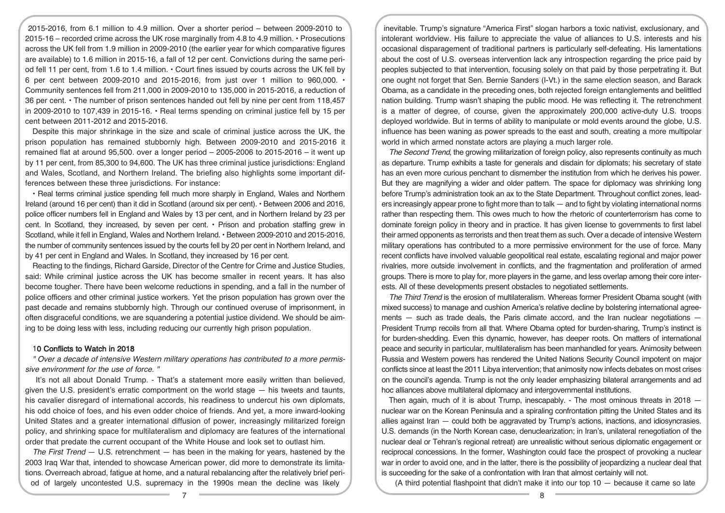2015-2016, from 6.1 million to 4.9 million. Over a shorter period – between 2009-2010 to 2015-16 – recorded crime across the UK rose marginally from 4.8 to 4.9 million. • Prosecutions across the UK fell from 1.9 million in 2009-2010 (the earlier year for which comparative figures are available) to 1.6 million in 2015-16, a fall of 12 per cent. Convictions during the same period fell 11 per cent, from 1.6 to 1.4 million. • Court fines issued by courts across the UK fell by 6 per cent between 2009-2010 and 2015-2016, from just over 1 million to 960,000. • Community sentences fell from 211,000 in 2009-2010 to 135,000 in 2015-2016, a reduction of 36 per cent. • The number of prison sentences handed out fell by nine per cent from 118,457 in 2009-2010 to 107,439 in 2015-16. • Real terms spending on criminal justice fell by 15 per cent between 2011-2012 and 2015-2016.

Despite this major shrinkage in the size and scale of criminal justice across the UK, the prison population has remained stubbornly high. Between 2009-2010 and 2015-2016 it remained flat at around 95,500. over a longer period – 2005-2006 to 2015-2016 – it went up by 11 per cent, from 85,300 to 94,600. The UK has three criminal justice jurisdictions: England and Wales, Scotland, and Northern Ireland. The briefing also highlights some important differences between these three jurisdictions. For instance:

• Real terms criminal justice spending fell much more sharply in England, Wales and Northern Ireland (around 16 per cent) than it did in Scotland (around six per cent). • Between 2006 and 2016, police officer numbers fell in England and Wales by 13 per cent, and in Northern Ireland by 23 per cent. In Scotland, they increased, by seven per cent. • Prison and probation staffing grew in Scotland, while it fell in England, Wales and Northern Ireland. • Between 2009-2010 and 2015-2016, the number of community sentences issued by the courts fell by 20 per cent in Northern Ireland, and by 41 per cent in England and Wales. In Scotland, they increased by 16 per cent.

Reacting to the findings, Richard Garside, Director of the Centre for Crime and Justice Studies, said: While criminal justice across the UK has become smaller in recent years. It has also become tougher. There have been welcome reductions in spending, and a fall in the number of police officers and other criminal justice workers. Yet the prison population has grown over the past decade and remains stubbornly high. Through our continued overuse of imprisonment, in often disgraceful conditions, we are squandering a potential justice dividend. We should be aiming to be doing less with less, including reducing our currently high prison population.

#### 10 Conflicts to Watch in 2018

" Over <sup>a</sup> decade of intensive Western military operations has contributed to <sup>a</sup> more permissive environment for the use of force. "

It's not all about Donald Trump. - That's a statement more easily written than believed, given the U.S. president's erratic comportment on the world stage — his tweets and taunts, his cavalier disregard of international accords, his readiness to undercut his own diplomats, his odd choice of foes, and his even odder choice of friends. And yet, a more inward-looking United States and a greater international diffusion of power, increasingly militarized foreign policy, and shrinking space for multilateralism and diplomacy are features of the international order that predate the current occupant of the White House and look set to outlast him.

The First Trend  $-$  U.S. retrenchment  $-$  has been in the making for years, hastened by the 2003 Iraq War that, intended to showcase American power, did more to demonstrate its limitations. Overreach abroad, fatigue at home, and a natural rebalancing after the relatively brief period of largely uncontested U.S. supremacy in the 1990s mean the decline was likely

inevitable. Trump's signature "America First" slogan harbors a toxic nativist, exclusionary, and intolerant worldview. His failure to appreciate the value of alliances to U.S. interests and his occasional disparagement of traditional partners is particularly self-defeating. His lamentations about the cost of U.S. overseas intervention lack any introspection regarding the price paid by peoples subjected to that intervention, focusing solely on that paid by those perpetrating it. But one ought not forget that Sen. Bernie Sanders (I-Vt.) in the same election season, and Barack Obama, as a candidate in the preceding ones, both rejected foreign entanglements and belittled nation building. Trump wasn't shaping the public mood. He was reflecting it. The retrenchment is a matter of degree, of course, given the approximately 200,000 active-duty U.S. troops deployed worldwide. But in terms of ability to manipulate or mold events around the globe, U.S. influence has been waning as power spreads to the east and south, creating a more multipolar world in which armed nonstate actors are playing a much larger role.

The Second Trend, the growing militarization of foreign policy, also represents continuity as much as departure. Trump exhibits a taste for generals and disdain for diplomats; his secretary of state has an even more curious penchant to dismember the institution from which he derives his power. But they are magnifying a wider and older pattern. The space for diplomacy was shrinking long before Trump's administration took an ax to the State Department. Throughout conflict zones, leaders increasingly appear prone to fight more than to talk — and to fight by violating international norms rather than respecting them. This owes much to how the rhetoric of counterterrorism has come to dominate foreign policy in theory and in practice. It has given license to governments to first label their armed opponents as terrorists and then treat them as such. Over a decade of intensive Western military operations has contributed to a more permissive environment for the use of force. Many recent conflicts have involved valuable geopolitical real estate, escalating regional and major power rivalries, more outside involvement in conflicts, and the fragmentation and proliferation of armed groups. There is more to play for, more players in the game, and less overlap among their core interests. All of these developments present obstacles to negotiated settlements.

The Third Trend is the erosion of multilateralism. Whereas former President Obama sought (with mixed success) to manage and cushion America's relative decline by bolstering international agreements — such as trade deals, the Paris climate accord, and the Iran nuclear negotiations — President Trump recoils from all that. Where Obama opted for burden-sharing, Trump's instinct is for burden-shedding. Even this dynamic, however, has deeper roots. On matters of international peace and security in particular, multilateralism has been manhandled for years. Animosity between Russia and Western powers has rendered the United Nations Security Council impotent on major conflicts since at least the 2011 Libya intervention; that animosity now infects debates on most crises on the council's agenda. Trump is not the only leader emphasizing bilateral arrangements and ad hoc alliances above multilateral diplomacy and intergovernmental institutions.

Then again, much of it is about Trump, inescapably. - The most ominous threats in 2018 nuclear war on the Korean Peninsula and a spiraling confrontation pitting the United States and its allies against Iran — could both be aggravated by Trump's actions, inactions, and idiosyncrasies. U.S. demands (in the North Korean case, denuclearization; in Iran's, unilateral renegotiation of the nuclear deal or Tehran's regional retreat) are unrealistic without serious diplomatic engagement or reciprocal concessions. In the former, Washington could face the prospect of provoking a nuclear war in order to avoid one, and in the latter, there is the possibility of jeopardizing a nuclear deal that is succeeding for the sake of a confrontation with Iran that almost certainly will not.

(A third potential flashpoint that didn't make it into our top 10 — because it came so late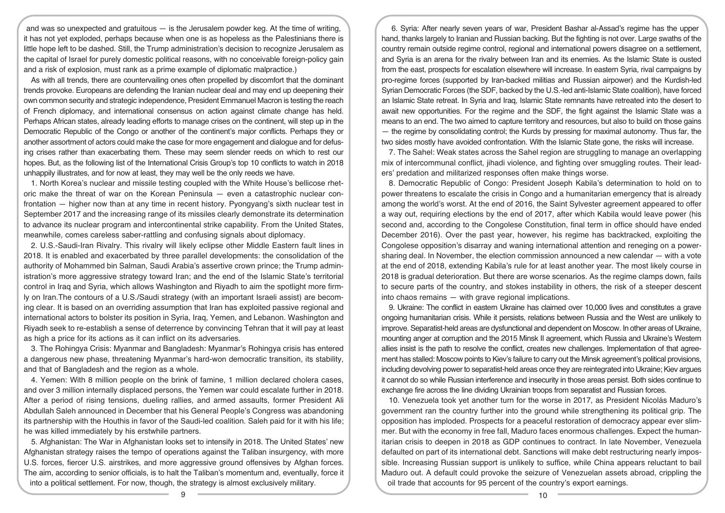and was so unexpected and gratuitous  $-$  is the Jerusalem powder keg. At the time of writing, it has not yet exploded, perhaps because when one is as hopeless as the Palestinians there is little hope left to be dashed. Still, the Trump administration's decision to recognize Jerusalem as the capital of Israel for purely domestic political reasons, with no conceivable foreign-policy gain and a risk of explosion, must rank as a prime example of diplomatic malpractice.)

As with all trends, there are countervailing ones often propelled by discomfort that the dominant trends provoke. Europeans are defending the Iranian nuclear deal and may end up deepening their own common security and strategic independence, President Emmanuel Macron is testing the reach of French diplomacy, and international consensus on action against climate change has held. Perhaps African states, already leading efforts to manage crises on the continent, will step up in the Democratic Republic of the Congo or another of the continent's major conflicts. Perhaps they or another assortment of actors could make the case for more engagement and dialogue and for defusing crises rather than exacerbating them. These may seem slender reeds on which to rest our hopes. But, as the following list of the International Crisis Group's top 10 conflicts to watch in 2018 unhappily illustrates, and for now at least, they may well be the only reeds we have.

1. North Korea's nuclear and missile testing coupled with the White House's bellicose rhetoric make the threat of war on the Korean Peninsula — even a catastrophic nuclear confrontation — higher now than at any time in recent history. Pyongyang's sixth nuclear test in September 2017 and the increasing range of its missiles clearly demonstrate its determination to advance its nuclear program and intercontinental strike capability. From the United States, meanwhile, comes careless saber-rattling and confusing signals about diplomacy.

2. U.S.-Saudi-Iran Rivalry. This rivalry will likely eclipse other Middle Eastern fault lines in 2018. It is enabled and exacerbated by three parallel developments: the consolidation of the authority of Mohammed bin Salman, Saudi Arabia's assertive crown prince; the Trump administration's more aggressive strategy toward Iran; and the end of the Islamic State's territorial control in Iraq and Syria, which allows Washington and Riyadh to aim the spotlight more firmly on Iran.The contours of a U.S./Saudi strategy (with an important Israeli assist) are becoming clear. It is based on an overriding assumption that Iran has exploited passive regional and international actors to bolster its position in Syria, Iraq, Yemen, and Lebanon. Washington and Riyadh seek to re-establish a sense of deterrence by convincing Tehran that it will pay at least as high a price for its actions as it can inflict on its adversaries.

3. The Rohingya Crisis: Myanmar and Bangladesh: Myanmar's Rohingya crisis has entered a dangerous new phase, threatening Myanmar's hard-won democratic transition, its stability, and that of Bangladesh and the region as a whole.

4. Yemen: With 8 million people on the brink of famine, 1 million declared cholera cases, and over 3 million internally displaced persons, the Yemen war could escalate further in 2018. After a period of rising tensions, dueling rallies, and armed assaults, former President Ali Abdullah Saleh announced in December that his General People's Congress was abandoning its partnership with the Houthis in favor of the Saudi-led coalition. Saleh paid for it with his life; he was killed immediately by his erstwhile partners.

5. Afghanistan: The War in Afghanistan looks set to intensify in 2018. The United States' new Afghanistan strategy raises the tempo of operations against the Taliban insurgency, with more U.S. forces, fiercer U.S. airstrikes, and more aggressive ground offensives by Afghan forces. The aim, according to senior officials, is to halt the Taliban's momentum and, eventually, force it into a political settlement. For now, though, the strategy is almost exclusively military.

6. Syria: After nearly seven years of war, President Bashar al-Assad's regime has the upper hand, thanks largely to Iranian and Russian backing. But the fighting is not over. Large swaths of the country remain outside regime control, regional and international powers disagree on a settlement, and Syria is an arena for the rivalry between Iran and its enemies. As the Islamic State is ousted from the east, prospects for escalation elsewhere will increase. In eastern Syria, rival campaigns by pro-regime forces (supported by Iran-backed militias and Russian airpower) and the Kurdish-led Syrian Democratic Forces (the SDF, backed by the U.S.-led anti-Islamic State coalition), have forced an Islamic State retreat. In Syria and Iraq, Islamic State remnants have retreated into the desert to await new opportunities. For the regime and the SDF, the fight against the Islamic State was a means to an end. The two aimed to capture territory and resources, but also to build on those gains — the regime by consolidating control; the Kurds by pressing for maximal autonomy. Thus far, the two sides mostly have avoided confrontation. With the Islamic State gone, the risks will increase.

7. The Sahel: Weak states across the Sahel region are struggling to manage an overlapping mix of intercommunal conflict, jihadi violence, and fighting over smuggling routes. Their leaders' predation and militarized responses often make things worse.

8. Democratic Republic of Congo: President Joseph Kabila's determination to hold on to power threatens to escalate the crisis in Congo and a humanitarian emergency that is already among the world's worst. At the end of 2016, the Saint Sylvester agreement appeared to offer a way out, requiring elections by the end of 2017, after which Kabila would leave power (his second and, according to the Congolese Constitution, final term in office should have ended December 2016). Over the past year, however, his regime has backtracked, exploiting the Congolese opposition's disarray and waning international attention and reneging on a powersharing deal. In November, the election commission announced a new calendar — with a vote at the end of 2018, extending Kabila's rule for at least another year. The most likely course in 2018 is gradual deterioration. But there are worse scenarios. As the regime clamps down, fails to secure parts of the country, and stokes instability in others, the risk of a steeper descent into chaos remains — with grave regional implications.

9. Ukraine: The conflict in eastern Ukraine has claimed over 10,000 lives and constitutes a grave ongoing humanitarian crisis. While it persists, relations between Russia and the West are unlikely to improve.Separatist-held areas are dysfunctional and dependent on Moscow. In other areas of Ukraine, mounting anger at corruption and the 2015 Minsk II agreement, which Russia and Ukraine's Western allies insist is the path to resolve the conflict, creates new challenges. Implementation of that agreement has stalled: Moscow points to Kiev's failure to carry out the Minsk agreement's political provisions, including devolving power to separatist-held areas once they are reintegrated into Ukraine; Kiev argues it cannot do so while Russian interference and insecurity in those areas persist. Both sides continue to exchange fire across the line dividing Ukrainian troops from separatist and Russian forces.

10. Venezuela took yet another turn for the worse in 2017, as President Nicolás Maduro's government ran the country further into the ground while strengthening its political grip. The opposition has imploded. Prospects for a peaceful restoration of democracy appear ever slimmer. But with the economy in free fall, Maduro faces enormous challenges. Expect the humanitarian crisis to deepen in 2018 as GDP continues to contract. In late November, Venezuela defaulted on part of its international debt. Sanctions will make debt restructuring nearly impossible. Increasing Russian support is unlikely to suffice, while China appears reluctant to bail Maduro out. A default could provoke the seizure of Venezuelan assets abroad, crippling the oil trade that accounts for 95 percent of the country's export earnings.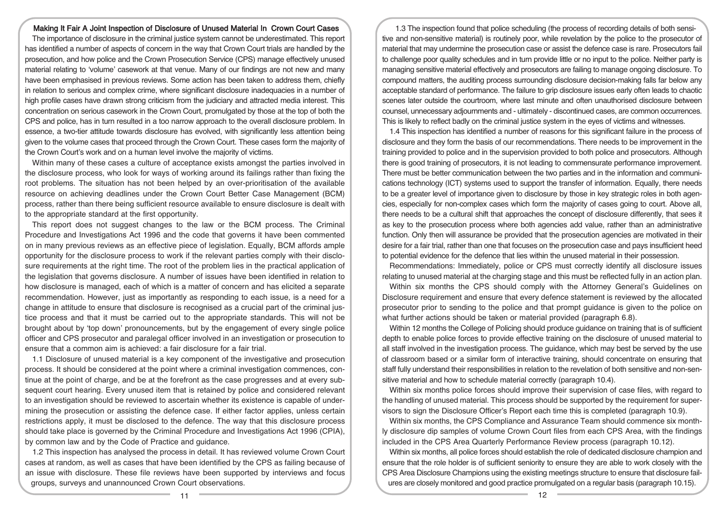## Making It Fair A Joint Inspection of Disclosure of Unused Material In Crown Court Cases

The importance of disclosure in the criminal justice system cannot be underestimated. This report has identified a number of aspects of concern in the way that Crown Court trials are handled by the prosecution, and how police and the Crown Prosecution Service (CPS) manage effectively unused material relating to 'volume' casework at that venue. Many of our findings are not new and many have been emphasised in previous reviews. Some action has been taken to address them, chiefly in relation to serious and complex crime, where significant disclosure inadequacies in a number of high profile cases have drawn strong criticism from the judiciary and attracted media interest. This concentration on serious casework in the Crown Court, promulgated by those at the top of both the CPS and police, has in turn resulted in a too narrow approach to the overall disclosure problem. In essence, a two-tier attitude towards disclosure has evolved, with significantly less attention being given to the volume cases that proceed through the Crown Court. These cases form the majority of the Crown Court's work and on a human level involve the majority of victims.

Within many of these cases a culture of acceptance exists amongst the parties involved in the disclosure process, who look for ways of working around its failings rather than fixing the root problems. The situation has not been helped by an over-prioritisation of the available resource on achieving deadlines under the Crown Court Better Case Management (BCM) process, rather than there being sufficient resource available to ensure disclosure is dealt with to the appropriate standard at the first opportunity.

This report does not suggest changes to the law or the BCM process. The Criminal Procedure and Investigations Act 1996 and the code that governs it have been commented on in many previous reviews as an effective piece of legislation. Equally, BCM affords ample opportunity for the disclosure process to work if the relevant parties comply with their disclosure requirements at the right time. The root of the problem lies in the practical application of the legislation that governs disclosure. A number of issues have been identified in relation to how disclosure is managed, each of which is a matter of concern and has elicited a separate recommendation. However, just as importantly as responding to each issue, is a need for a change in attitude to ensure that disclosure is recognised as a crucial part of the criminal justice process and that it must be carried out to the appropriate standards. This will not be brought about by 'top down' pronouncements, but by the engagement of every single police officer and CPS prosecutor and paralegal officer involved in an investigation or prosecution to ensure that a common aim is achieved: a fair disclosure for a fair trial.

1.1 Disclosure of unused material is a key component of the investigative and prosecution process. It should be considered at the point where a criminal investigation commences, continue at the point of charge, and be at the forefront as the case progresses and at every subsequent court hearing. Every unused item that is retained by police and considered relevant to an investigation should be reviewed to ascertain whether its existence is capable of undermining the prosecution or assisting the defence case. If either factor applies, unless certain restrictions apply, it must be disclosed to the defence. The way that this disclosure process should take place is governed by the Criminal Procedure and Investigations Act 1996 (CPIA), by common law and by the Code of Practice and guidance.

1.2 This inspection has analysed the process in detail. It has reviewed volume Crown Court cases at random, as well as cases that have been identified by the CPS as failing because of an issue with disclosure. These file reviews have been supported by interviews and focus groups, surveys and unannounced Crown Court observations.

1.3 The inspection found that police scheduling (the process of recording details of both sensitive and non-sensitive material) is routinely poor, while revelation by the police to the prosecutor of material that may undermine the prosecution case or assist the defence case is rare. Prosecutors fail to challenge poor quality schedules and in turn provide little or no input to the police. Neither party is managing sensitive material effectively and prosecutors are failing to manage ongoing disclosure. To compound matters, the auditing process surrounding disclosure decision-making falls far below any acceptable standard of performance. The failure to grip disclosure issues early often leads to chaotic scenes later outside the courtroom, where last minute and often unauthorised disclosure between counsel, unnecessary adjournments and - ultimately - discontinued cases, are common occurrences. This is likely to reflect badly on the criminal justice system in the eyes of victims and witnesses.

1.4 This inspection has identified a number of reasons for this significant failure in the process of disclosure and they form the basis of our recommendations. There needs to be improvement in the training provided to police and in the supervision provided to both police and prosecutors. Although there is good training of prosecutors, it is not leading to commensurate performance improvement. There must be better communication between the two parties and in the information and communications technology (ICT) systems used to support the transfer of information. Equally, there needs to be a greater level of importance given to disclosure by those in key strategic roles in both agencies, especially for non-complex cases which form the majority of cases going to court. Above all, there needs to be a cultural shift that approaches the concept of disclosure differently, that sees it as key to the prosecution process where both agencies add value, rather than an administrative function. Only then will assurance be provided that the prosecution agencies are motivated in their desire for a fair trial, rather than one that focuses on the prosecution case and pays insufficient heed to potential evidence for the defence that lies within the unused material in their possession.

Recommendations: Immediately, police or CPS must correctly identify all disclosure issues relating to unused material at the charging stage and this must be reflected fully in an action plan.

Within six months the CPS should comply with the Attorney General's Guidelines on Disclosure requirement and ensure that every defence statement is reviewed by the allocated prosecutor prior to sending to the police and that prompt guidance is given to the police on what further actions should be taken or material provided (paragraph 6.8).

Within 12 months the College of Policing should produce guidance on training that is of sufficient depth to enable police forces to provide effective training on the disclosure of unused material to all staff involved in the investigation process. The guidance, which may best be served by the use of classroom based or a similar form of interactive training, should concentrate on ensuring that staff fully understand their responsibilities in relation to the revelation of both sensitive and non-sensitive material and how to schedule material correctly (paragraph 10.4).

Within six months police forces should improve their supervision of case files, with regard to the handling of unused material. This process should be supported by the requirement for supervisors to sign the Disclosure Officer's Report each time this is completed (paragraph 10.9).

Within six months, the CPS Compliance and Assurance Team should commence six monthly disclosure dip samples of volume Crown Court files from each CPS Area, with the findings included in the CPS Area Quarterly Performance Review process (paragraph 10.12).

Within six months, all police forces should establish the role of dedicated disclosure champion and ensure that the role holder is of sufficient seniority to ensure they are able to work closely with the CPS Area Disclosure Champions using the existing meetings structure to ensure that disclosure failures are closely monitored and good practice promulgated on a regular basis (paragraph 10.15).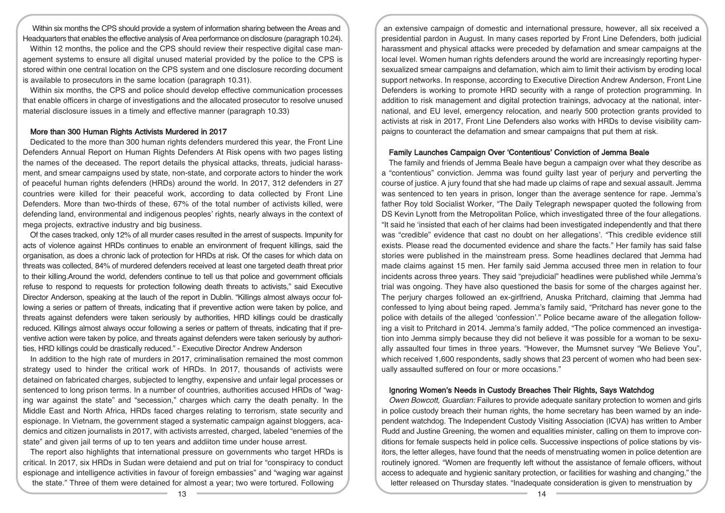Within six months the CPS should provide a system of information sharing between the Areas and Headquarters that enables the effective analysis of Area performance on disclosure (paragraph 10.24).

Within 12 months, the police and the CPS should review their respective digital case management systems to ensure all digital unused material provided by the police to the CPS is stored within one central location on the CPS system and one disclosure recording document is available to prosecutors in the same location (paragraph 10.31).

Within six months, the CPS and police should develop effective communication processes that enable officers in charge of investigations and the allocated prosecutor to resolve unused material disclosure issues in a timely and effective manner (paragraph 10.33)

#### More than 300 Human Rights Activists Murdered in 2017

Dedicated to the more than 300 human rights defenders murdered this year, the Front Line Defenders Annual Report on Human Rights Defenders At Risk opens with two pages listing the names of the deceased. The report details the physical attacks, threats, judicial harassment, and smear campaigns used by state, non-state, and corporate actors to hinder the work of peaceful human rights defenders (HRDs) around the world. In 2017, 312 defenders in 27 countries were killed for their peaceful work, according to data collected by Front Line Defenders. More than two-thirds of these, 67% of the total number of activists killed, were defending land, environmental and indigenous peoples' rights, nearly always in the context of mega projects, extractive industry and big business.

Of the cases tracked, only 12% of all murder cases resulted in the arrest of suspects. Impunity for acts of violence against HRDs continues to enable an environment of frequent killings, said the organisation, as does a chronic lack of protection for HRDs at risk. Of the cases for which data on threats was collected, 84% of murdered defenders received at least one targeted death threat prior to their killing.Around the world, defenders continue to tell us that police and government officials refuse to respond to requests for protection following death threats to activists," said Executive Director Anderson, speaking at the lauch of the report in Dublin. "Killings almost always occur following a series or pattern of threats, indicating that if preventive action were taken by police, and threats against defenders were taken seriously by authorities, HRD killings could be drastically reduced. Killings almost always occur following a series or pattern of threats, indicating that if preventive action were taken by police, and threats against defenders were taken seriously by authorities, HRD killings could be drastically reduced." - Executive Director Andrew Anderson

In addition to the high rate of murders in 2017, criminalisation remained the most common strategy used to hinder the critical work of HRDs. In 2017, thousands of activists were detained on fabricated charges, subjected to lengthy, expensive and unfair legal processes or sentenced to long prison terms. In a number of countries, authorities accused HRDs of "waging war against the state" and "secession," charges which carry the death penalty. In the Middle East and North Africa, HRDs faced charges relating to terrorism, state security and espionage. In Vietnam, the government staged a systematic campaign against bloggers, academics and citizen journalists in 2017, with activists arrested, charged, labeled "enemies of the state" and given jail terms of up to ten years and addiiton time under house arrest.

The report also highlights that international pressure on governments who target HRDs is critical. In 2017, six HRDs in Sudan were detaiend and put on trial for "conspiracy to conduct espionage and intelligence activities in favour of foreign embassies" and "waging war against the state." Three of them were detained for almost a year; two were tortured. Following

an extensive campaign of domestic and international pressure, however, all six received a presidential pardon in August. In many cases reported by Front Line Defenders, both judicial harassment and physical attacks were preceded by defamation and smear campaigns at the local level. Women human rights defenders around the world are increasingly reporting hypersexualized smear campaigns and defamation, which aim to limit their activism by eroding local support networks. In response, according to Executive Direction Andrew Anderson, Front Line Defenders is working to promote HRD security with a range of protection programming. In addition to risk management and digital protection trainings, advocacy at the national, international, and EU level, emergency relocation, and nearly 500 protection grants provided to activists at risk in 2017, Front Line Defenders also works with HRDs to devise visibility campaigns to counteract the defamation and smear campaigns that put them at risk.

## Family Launches Campaign Over 'Contentious' Conviction of Jemma Beale

The family and friends of Jemma Beale have begun a campaign over what they describe as a "contentious" conviction. Jemma was found guilty last year of perjury and perverting the course of justice. A jury found that she had made up claims of rape and sexual assault. Jemma was sentenced to ten years in prison, longer than the average sentence for rape. Jemma's father Roy told Socialist Worker, "The Daily Telegraph newspaper quoted the following from DS Kevin Lynott from the Metropolitan Police, which investigated three of the four allegations. "It said he 'insisted that each of her claims had been investigated independently and that there was "credible" evidence that cast no doubt on her allegations'. "This credible evidence still exists. Please read the documented evidence and share the facts." Her family has said false stories were published in the mainstream press. Some headlines declared that Jemma had made claims against 15 men. Her family said Jemma accused three men in relation to four incidents across three years. They said "prejudicial" headlines were published while Jemma's trial was ongoing. They have also questioned the basis for some of the charges against her. The perjury charges followed an ex-girlfriend, Anuska Pritchard, claiming that Jemma had confessed to lying about being raped. Jemma's family said, "Pritchard has never gone to the police with details of the alleged 'confession'." Police became aware of the allegation following a visit to Pritchard in 2014. Jemma's family added, "The police commenced an investigation into Jemma simply because they did not believe it was possible for a woman to be sexually assaulted four times in three years. "However, the Mumsnet survey "We Believe You", which received 1,600 respondents, sadly shows that 23 percent of women who had been sexually assaulted suffered on four or more occasions."

#### Ignoring Women's Needs in Custody Breaches Their Rights, Says Watchdog

Owen Bowcott, Guardian: Failures to provide adequate sanitary protection to women and girls in police custody breach their human rights, the home secretary has been warned by an independent watchdog. The Independent Custody Visiting Association (ICVA) has written to Amber Rudd and Justine Greening, the women and equalities minister, calling on them to improve conditions for female suspects held in police cells. Successive inspections of police stations by visitors, the letter alleges, have found that the needs of menstruating women in police detention are routinely ignored. "Women are frequently left without the assistance of female officers, without access to adequate and hygienic sanitary protection, or facilities for washing and changing," the letter released on Thursday states. "Inadequate consideration is given to menstruation by